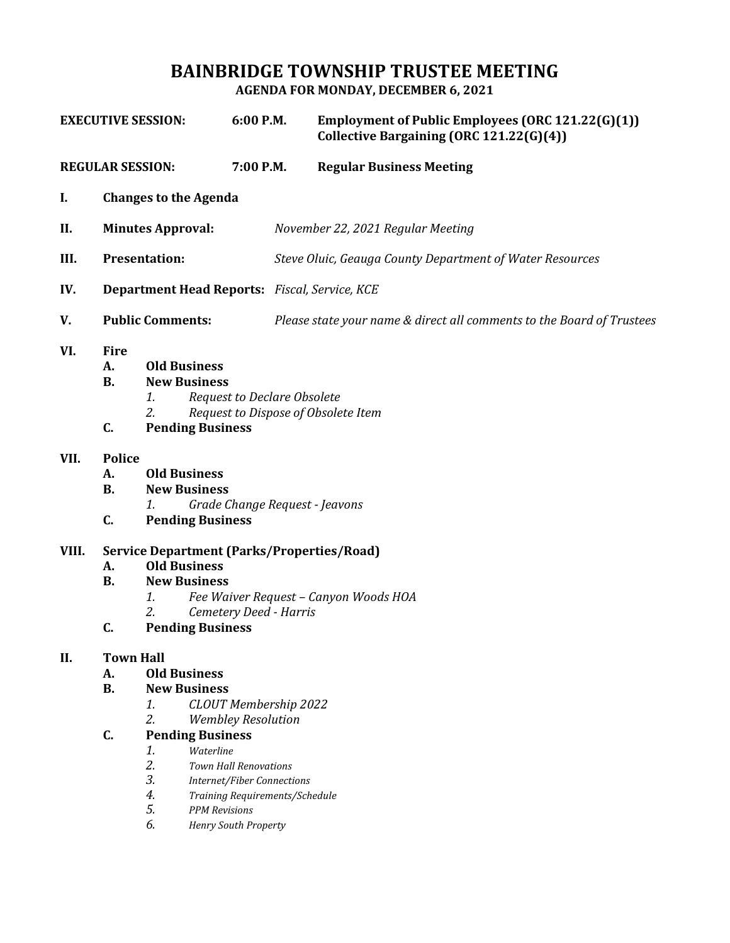# **BAINBRIDGE TOWNSHIP TRUSTEE MEETING**

**AGENDA FOR MONDAY, DECEMBER 6, 2021**

| <b>EXECUTIVE SESSION:</b>          |                                                                                                                                                                                                                                                                                                                                                                                                     | 6:00 P.M.                                                                                                                                                                                                 | Employment of Public Employees (ORC 121.22(G)(1))<br>Collective Bargaining (ORC 121.22(G)(4)) |                                                                       |  |
|------------------------------------|-----------------------------------------------------------------------------------------------------------------------------------------------------------------------------------------------------------------------------------------------------------------------------------------------------------------------------------------------------------------------------------------------------|-----------------------------------------------------------------------------------------------------------------------------------------------------------------------------------------------------------|-----------------------------------------------------------------------------------------------|-----------------------------------------------------------------------|--|
| <b>REGULAR SESSION:</b>            |                                                                                                                                                                                                                                                                                                                                                                                                     |                                                                                                                                                                                                           | 7:00 P.M.                                                                                     | <b>Regular Business Meeting</b>                                       |  |
| I.<br><b>Changes to the Agenda</b> |                                                                                                                                                                                                                                                                                                                                                                                                     |                                                                                                                                                                                                           |                                                                                               |                                                                       |  |
| II.                                | <b>Minutes Approval:</b>                                                                                                                                                                                                                                                                                                                                                                            |                                                                                                                                                                                                           |                                                                                               | November 22, 2021 Regular Meeting                                     |  |
| III.                               | <b>Presentation:</b>                                                                                                                                                                                                                                                                                                                                                                                |                                                                                                                                                                                                           |                                                                                               | Steve Oluic, Geauga County Department of Water Resources              |  |
| IV.                                | <b>Department Head Reports:</b> Fiscal, Service, KCE                                                                                                                                                                                                                                                                                                                                                |                                                                                                                                                                                                           |                                                                                               |                                                                       |  |
| V.                                 | <b>Public Comments:</b>                                                                                                                                                                                                                                                                                                                                                                             |                                                                                                                                                                                                           |                                                                                               | Please state your name & direct all comments to the Board of Trustees |  |
| VI.                                | <b>Fire</b><br><b>Old Business</b><br>A.<br><b>New Business</b><br><b>B.</b><br><b>Request to Declare Obsolete</b><br>1.<br>2.<br>Request to Dispose of Obsolete Item<br>C.<br><b>Pending Business</b>                                                                                                                                                                                              |                                                                                                                                                                                                           |                                                                                               |                                                                       |  |
| VII.                               | <b>Police</b><br>А.<br><b>B.</b><br>C.                                                                                                                                                                                                                                                                                                                                                              | <b>Old Business</b><br><b>New Business</b><br>Grade Change Request - Jeavons<br>1.<br><b>Pending Business</b>                                                                                             |                                                                                               |                                                                       |  |
| VIII.                              | A.<br><b>B.</b><br>C.                                                                                                                                                                                                                                                                                                                                                                               | <b>Service Department (Parks/Properties/Road)</b><br><b>Old Business</b><br><b>New Business</b><br>Fee Waiver Request - Canyon Woods HOA<br>1.<br>2.<br>Cemetery Deed - Harris<br><b>Pending Business</b> |                                                                                               |                                                                       |  |
| II.                                | <b>Town Hall</b><br><b>Old Business</b><br>А.<br><b>B.</b><br><b>New Business</b><br><b>CLOUT Membership 2022</b><br>1.<br>2.<br><b>Wembley Resolution</b><br>C.<br><b>Pending Business</b><br>1.<br>Waterline<br>2.<br><b>Town Hall Renovations</b><br>3.<br><b>Internet/Fiber Connections</b><br>4.<br>Training Requirements/Schedule<br>5.<br><b>PPM</b> Revisions<br>6.<br>Henry South Property |                                                                                                                                                                                                           |                                                                                               |                                                                       |  |